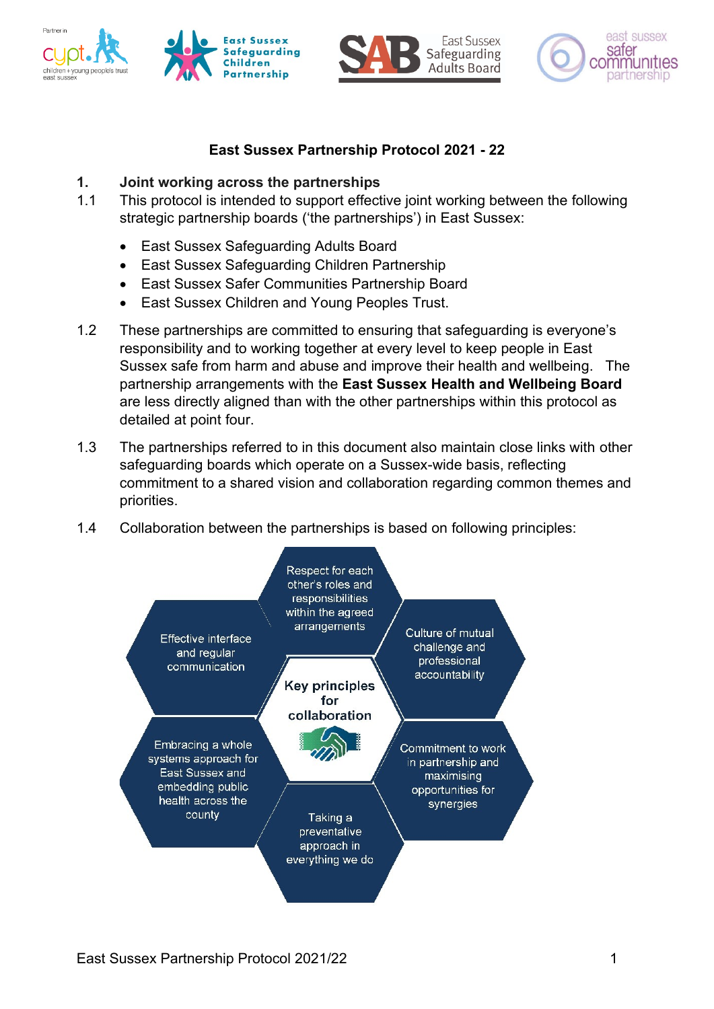







## **East Sussex Partnership Protocol 2021 - 22**

## **1. Joint working across the partnerships**

- 1.1 This protocol is intended to support effective joint working between the following strategic partnership boards ('the partnerships') in East Sussex:
	- East Sussex Safeguarding Adults Board
	- East Sussex Safeguarding Children Partnership
	- East Sussex Safer Communities Partnership Board
	- East Sussex Children and Young Peoples Trust.
- 1.2 These partnerships are committed to ensuring that safeguarding is everyone's responsibility and to working together at every level to keep people in East Sussex safe from harm and abuse and improve their health and wellbeing. The partnership arrangements with the **East Sussex Health and Wellbeing Board** are less directly aligned than with the other partnerships within this protocol as detailed at point four.
- 1.3 The partnerships referred to in this document also maintain close links with other safeguarding boards which operate on a Sussex-wide basis, reflecting commitment to a shared vision and collaboration regarding common themes and priorities.
- 1.4 Collaboration between the partnerships is based on following principles:

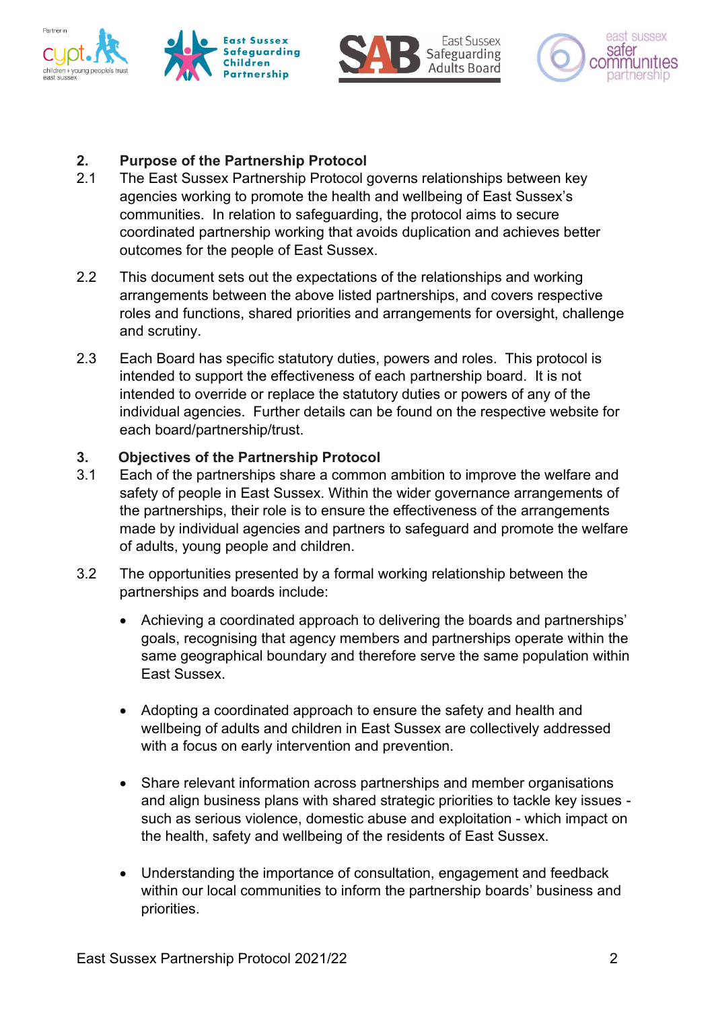







# **2. Purpose of the Partnership Protocol**

- 2.1 The East Sussex Partnership Protocol governs relationships between key agencies working to promote the health and wellbeing of East Sussex's communities. In relation to safeguarding, the protocol aims to secure coordinated partnership working that avoids duplication and achieves better outcomes for the people of East Sussex.
- 2.2 This document sets out the expectations of the relationships and working arrangements between the above listed partnerships, and covers respective roles and functions, shared priorities and arrangements for oversight, challenge and scrutiny.
- 2.3 Each Board has specific statutory duties, powers and roles. This protocol is intended to support the effectiveness of each partnership board. It is not intended to override or replace the statutory duties or powers of any of the individual agencies. Further details can be found on the respective website for each board/partnership/trust.

### **3. Objectives of the Partnership Protocol**

- 3.1 Each of the partnerships share a common ambition to improve the welfare and safety of people in East Sussex. Within the wider governance arrangements of the partnerships, their role is to ensure the effectiveness of the arrangements made by individual agencies and partners to safeguard and promote the welfare of adults, young people and children.
- 3.2 The opportunities presented by a formal working relationship between the partnerships and boards include:
	- Achieving a coordinated approach to delivering the boards and partnerships' goals, recognising that agency members and partnerships operate within the same geographical boundary and therefore serve the same population within East Sussex.
	- Adopting a coordinated approach to ensure the safety and health and wellbeing of adults and children in East Sussex are collectively addressed with a focus on early intervention and prevention.
	- Share relevant information across partnerships and member organisations and align business plans with shared strategic priorities to tackle key issues such as serious violence, domestic abuse and exploitation - which impact on the health, safety and wellbeing of the residents of East Sussex.
	- Understanding the importance of consultation, engagement and feedback within our local communities to inform the partnership boards' business and priorities.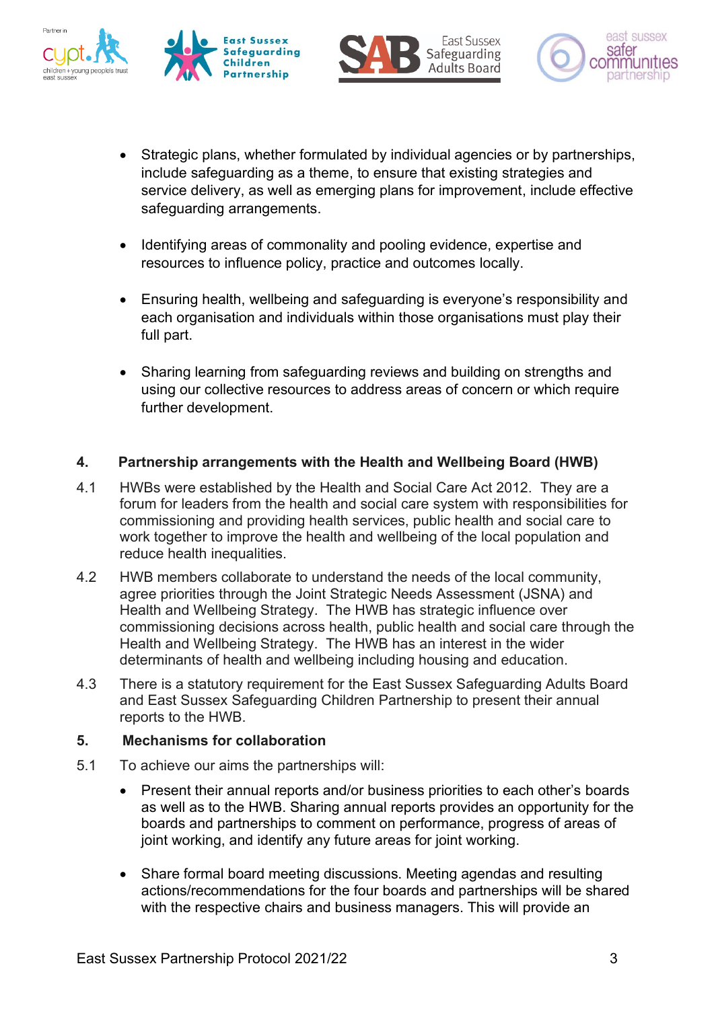







- Strategic plans, whether formulated by individual agencies or by partnerships, include safeguarding as a theme, to ensure that existing strategies and service delivery, as well as emerging plans for improvement, include effective safeguarding arrangements.
- Identifying areas of commonality and pooling evidence, expertise and resources to influence policy, practice and outcomes locally.
- Ensuring health, wellbeing and safeguarding is everyone's responsibility and each organisation and individuals within those organisations must play their full part.
- Sharing learning from safeguarding reviews and building on strengths and using our collective resources to address areas of concern or which require further development.

# **4. Partnership arrangements with the Health and Wellbeing Board (HWB)**

- 4.1 HWBs were established by the Health and Social Care Act 2012. They are a forum for leaders from the health and social care system with responsibilities for commissioning and providing health services, public health and social care to work together to improve the health and wellbeing of the local population and reduce health inequalities.
- 4.2 HWB members collaborate to understand the needs of the local community, agree priorities through the Joint Strategic Needs Assessment (JSNA) and Health and Wellbeing Strategy. The HWB has strategic influence over commissioning decisions across health, public health and social care through the Health and Wellbeing Strategy. The HWB has an interest in the wider determinants of health and wellbeing including housing and education.
- 4.3 There is a statutory requirement for the East Sussex Safeguarding Adults Board and East Sussex Safeguarding Children Partnership to present their annual reports to the HWB.

## **5. Mechanisms for collaboration**

- 5.1 To achieve our aims the partnerships will:
	- Present their annual reports and/or business priorities to each other's boards as well as to the HWB. Sharing annual reports provides an opportunity for the boards and partnerships to comment on performance, progress of areas of joint working, and identify any future areas for joint working.
	- Share formal board meeting discussions. Meeting agendas and resulting actions/recommendations for the four boards and partnerships will be shared with the respective chairs and business managers. This will provide an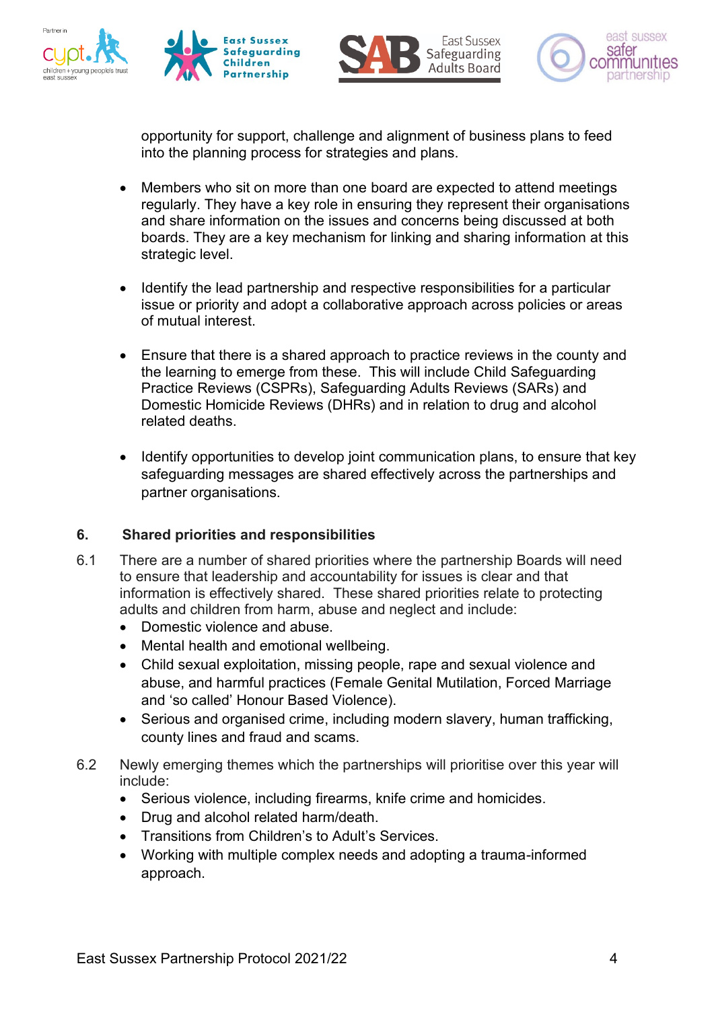







opportunity for support, challenge and alignment of business plans to feed into the planning process for strategies and plans.

- Members who sit on more than one board are expected to attend meetings regularly. They have a key role in ensuring they represent their organisations and share information on the issues and concerns being discussed at both boards. They are a key mechanism for linking and sharing information at this strategic level.
- Identify the lead partnership and respective responsibilities for a particular issue or priority and adopt a collaborative approach across policies or areas of mutual interest.
- Ensure that there is a shared approach to practice reviews in the county and the learning to emerge from these. This will include Child Safeguarding Practice Reviews (CSPRs), Safeguarding Adults Reviews (SARs) and Domestic Homicide Reviews (DHRs) and in relation to drug and alcohol related deaths.
- Identify opportunities to develop joint communication plans, to ensure that key safeguarding messages are shared effectively across the partnerships and partner organisations.

## **6. Shared priorities and responsibilities**

- 6.1 There are a number of shared priorities where the partnership Boards will need to ensure that leadership and accountability for issues is clear and that information is effectively shared. These shared priorities relate to protecting adults and children from harm, abuse and neglect and include:
	- Domestic violence and abuse.
	- Mental health and emotional wellbeing.
	- Child sexual exploitation, missing people, rape and sexual violence and abuse, and harmful practices (Female Genital Mutilation, Forced Marriage and 'so called' Honour Based Violence).
	- Serious and organised crime, including modern slavery, human trafficking, county lines and fraud and scams.
- 6.2 Newly emerging themes which the partnerships will prioritise over this year will include:
	- Serious violence, including firearms, knife crime and homicides.
	- Drug and alcohol related harm/death.
	- Transitions from Children's to Adult's Services.
	- Working with multiple complex needs and adopting a trauma-informed approach.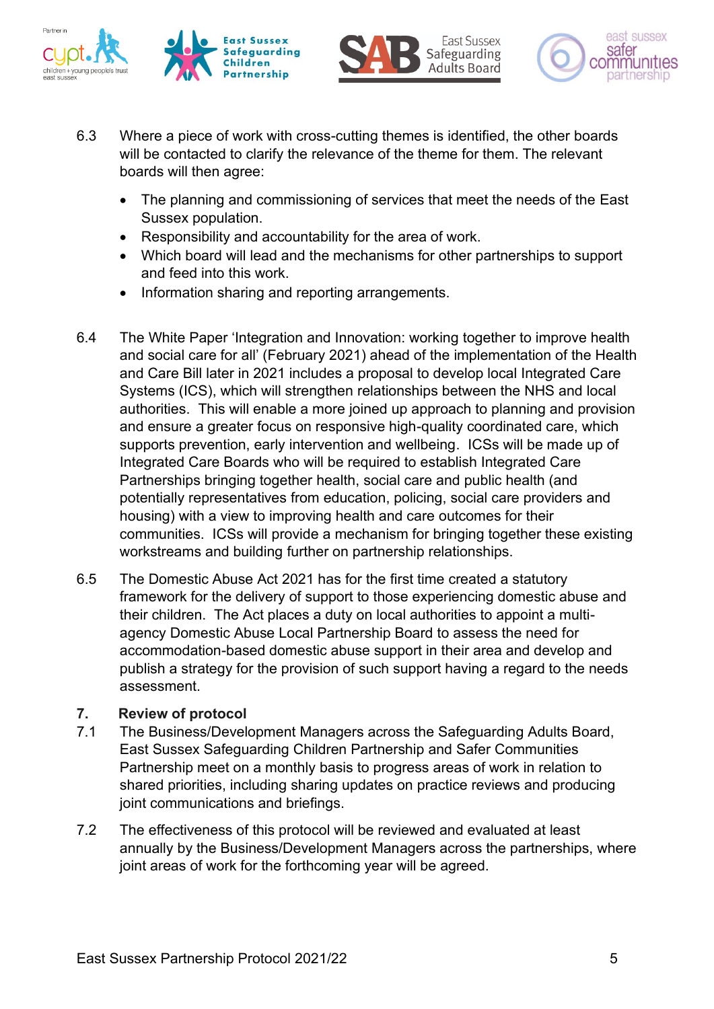







- 6.3 Where a piece of work with cross-cutting themes is identified, the other boards will be contacted to clarify the relevance of the theme for them. The relevant boards will then agree:
	- The planning and commissioning of services that meet the needs of the East Sussex population.
	- Responsibility and accountability for the area of work.
	- Which board will lead and the mechanisms for other partnerships to support and feed into this work.
	- Information sharing and reporting arrangements.
- 6.4 The White Paper 'Integration and Innovation: working together to improve health and social care for all' (February 2021) ahead of the implementation of the Health and Care Bill later in 2021 includes a proposal to develop local Integrated Care Systems (ICS), which will strengthen relationships between the NHS and local authorities. This will enable a more joined up approach to planning and provision and ensure a greater focus on responsive high-quality coordinated care, which supports prevention, early intervention and wellbeing. ICSs will be made up of Integrated Care Boards who will be required to establish Integrated Care Partnerships bringing together health, social care and public health (and potentially representatives from education, policing, social care providers and housing) with a view to improving health and care outcomes for their communities. ICSs will provide a mechanism for bringing together these existing workstreams and building further on partnership relationships.
- 6.5 The Domestic Abuse Act 2021 has for the first time created a statutory framework for the delivery of support to those experiencing domestic abuse and their children. The Act places a duty on local authorities to appoint a multiagency Domestic Abuse Local Partnership Board to assess the need for accommodation-based domestic abuse support in their area and develop and publish a strategy for the provision of such support having a regard to the needs assessment.

## **7. Review of protocol**

- 7.1 The Business/Development Managers across the Safeguarding Adults Board, East Sussex Safeguarding Children Partnership and Safer Communities Partnership meet on a monthly basis to progress areas of work in relation to shared priorities, including sharing updates on practice reviews and producing joint communications and briefings.
- 7.2 The effectiveness of this protocol will be reviewed and evaluated at least annually by the Business/Development Managers across the partnerships, where joint areas of work for the forthcoming year will be agreed.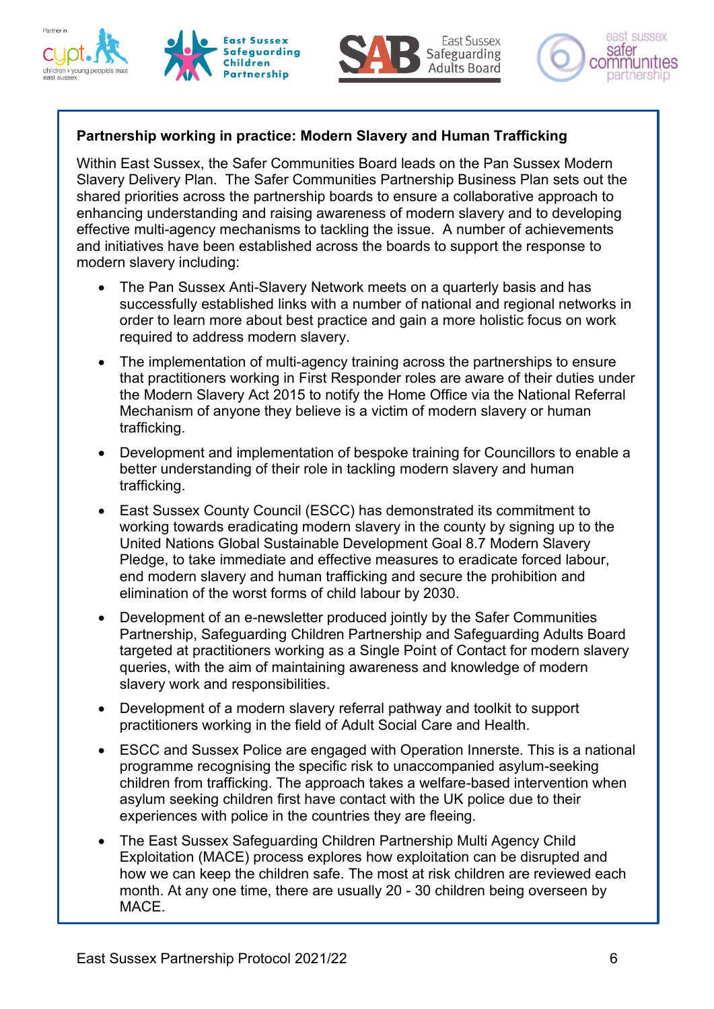







## **Partnership working in practice: Modern Slavery and Human Trafficking**

Within East Sussex, the Safer Communities Board leads on the Pan Sussex Modern Slavery Delivery Plan. The Safer Communities Partnership Business Plan sets out the shared priorities across the partnership boards to ensure a collaborative approach to enhancing understanding and raising awareness of modern slavery and to developing effective multi-agency mechanisms to tackling the issue. A number of achievements and initiatives have been established across the boards to support the response to modern slavery including:

- The Pan Sussex Anti-Slavery Network meets on a quarterly basis and has successfully established links with a number of national and regional networks in order to learn more about best practice and gain a more holistic focus on work required to address modern slavery.
- The implementation of multi-agency training across the partnerships to ensure that practitioners working in First Responder roles are aware of their duties under the Modern Slavery Act 2015 to notify the Home Office via the National Referral Mechanism of anyone they believe is a victim of modern slavery or human trafficking.
- Development and implementation of bespoke training for Councillors to enable a better understanding of their role in tackling modern slavery and human trafficking.
- East Sussex County Council (ESCC) has demonstrated its commitment to working towards eradicating modern slavery in the county by signing up to the United Nations Global Sustainable Development Goal 8.7 Modern Slavery Pledge, to take immediate and effective measures to eradicate forced labour, end modern slavery and human trafficking and secure the prohibition and elimination of the worst forms of child labour by 2030.
- Development of an e-newsletter produced jointly by the Safer Communities Partnership, Safeguarding Children Partnership and Safeguarding Adults Board targeted at practitioners working as a Single Point of Contact for modern slavery queries, with the aim of maintaining awareness and knowledge of modern slavery work and responsibilities.
- Development of a modern slavery referral pathway and toolkit to support practitioners working in the field of Adult Social Care and Health.
- ESCC and Sussex Police are engaged with Operation Innerste. This is a national programme recognising the specific risk to unaccompanied asylum-seeking children from trafficking. The approach takes a welfare-based intervention when asylum seeking children first have contact with the UK police due to their experiences with police in the countries they are fleeing.
- The East Sussex Safeguarding Children Partnership Multi Agency Child Exploitation (MACE) process explores how exploitation can be disrupted and how we can keep the children safe. The most at risk children are reviewed each month. At any one time, there are usually 20 - 30 children being overseen by MACE.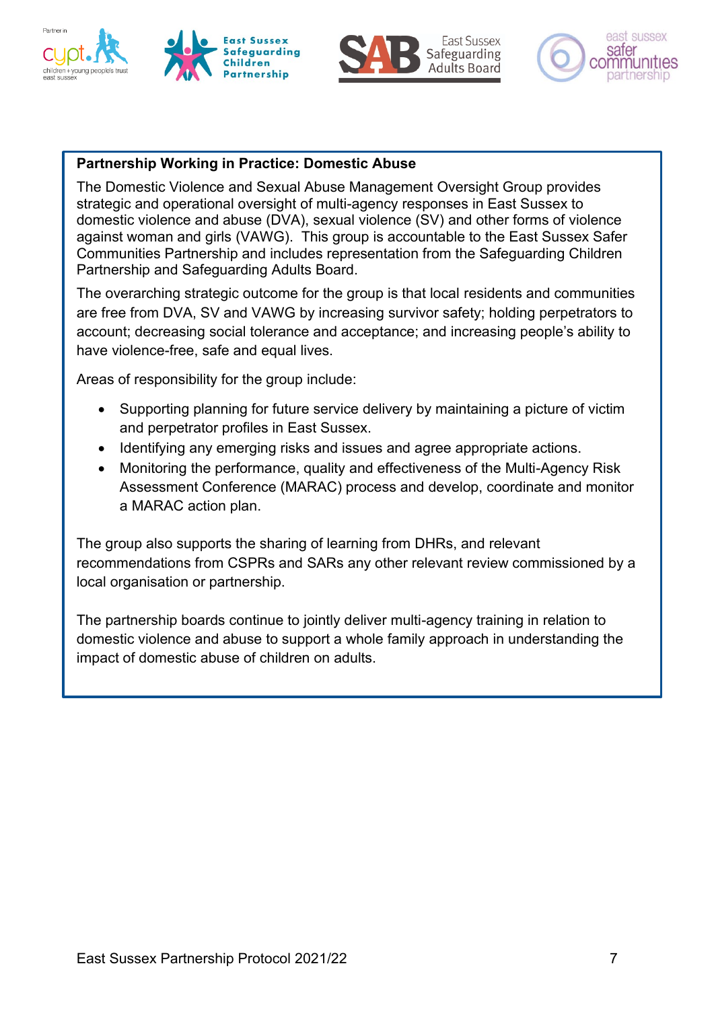







## **Partnership Working in Practice: Domestic Abuse**

The Domestic Violence and Sexual Abuse Management Oversight Group provides strategic and operational oversight of multi-agency responses in East Sussex to domestic violence and abuse (DVA), sexual violence (SV) and other forms of violence against woman and girls (VAWG). This group is accountable to the East Sussex Safer Communities Partnership and includes representation from the Safeguarding Children Partnership and Safeguarding Adults Board.

The overarching strategic outcome for the group is that local residents and communities are free from DVA, SV and VAWG by increasing survivor safety; holding perpetrators to account; decreasing social tolerance and acceptance; and increasing people's ability to have violence-free, safe and equal lives.

Areas of responsibility for the group include:

- Supporting planning for future service delivery by maintaining a picture of victim and perpetrator profiles in East Sussex.
- Identifying any emerging risks and issues and agree appropriate actions.
- Monitoring the performance, quality and effectiveness of the Multi-Agency Risk Assessment Conference (MARAC) process and develop, coordinate and monitor a MARAC action plan.

The group also supports the sharing of learning from DHRs, and relevant recommendations from CSPRs and SARs any other relevant review commissioned by a local organisation or partnership.

The partnership boards continue to jointly deliver multi-agency training in relation to domestic violence and abuse to support a whole family approach in understanding the impact of domestic abuse of children on adults.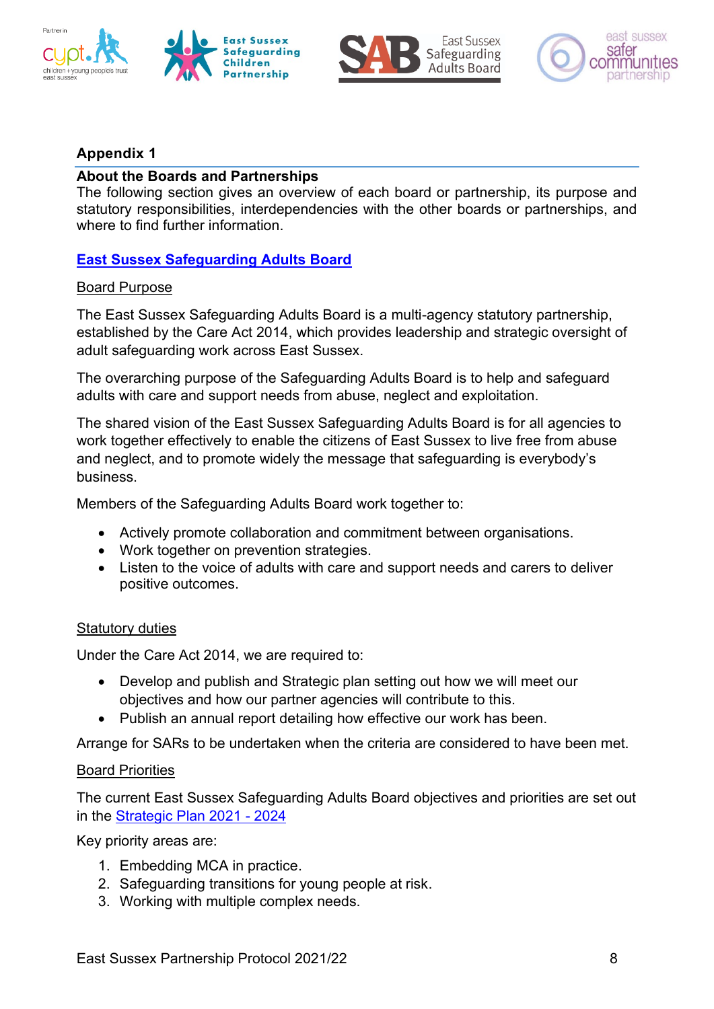







### **Appendix 1**

### **About the Boards and Partnerships**

The following section gives an overview of each board or partnership, its purpose and statutory responsibilities, interdependencies with the other boards or partnerships, and where to find further information.

## **[East Sussex Safeguarding Adults Board](http://www.eastsussexsab.org.uk/)**

### Board Purpose

The East Sussex Safeguarding Adults Board is a multi-agency statutory partnership, established by the Care Act 2014, which provides leadership and strategic oversight of adult safeguarding work across East Sussex.

The overarching purpose of the Safeguarding Adults Board is to help and safeguard adults with care and support needs from abuse, neglect and exploitation.

The shared vision of the East Sussex Safeguarding Adults Board is for all agencies to work together effectively to enable the citizens of East Sussex to live free from abuse and neglect, and to promote widely the message that safeguarding is everybody's business.

Members of the Safeguarding Adults Board work together to:

- Actively promote collaboration and commitment between organisations.
- Work together on prevention strategies.
- Listen to the voice of adults with care and support needs and carers to deliver positive outcomes.

### Statutory duties

Under the Care Act 2014, we are required to:

- Develop and publish and Strategic plan setting out how we will meet our objectives and how our partner agencies will contribute to this.
- Publish an annual report detailing how effective our work has been.

Arrange for SARs to be undertaken when the criteria are considered to have been met.

### Board Priorities

The current East Sussex Safeguarding Adults Board objectives and priorities are set out in the [Strategic Plan 2021 -](https://www.eastsussexsab.org.uk/documents/sab-strategic-plan-2021-2024/) 2024

Key priority areas are:

- 1. Embedding MCA in practice.
- 2. Safeguarding transitions for young people at risk.
- 3. Working with multiple complex needs.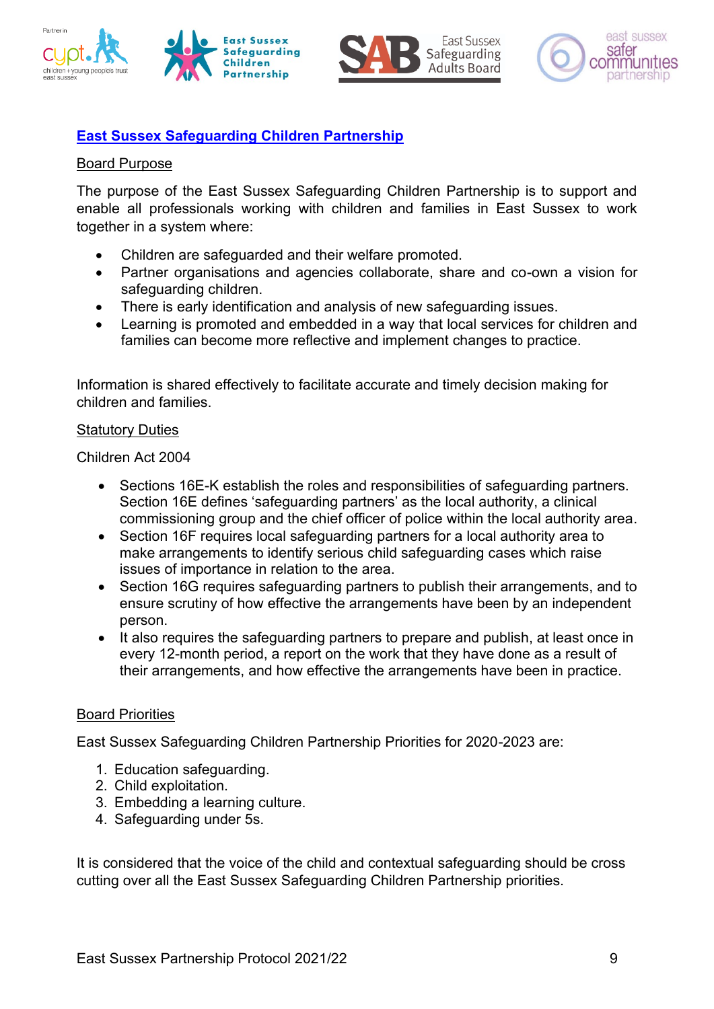







# **[East Sussex Safeguarding Children Partnership](http://www.esscp.org.uk/)**

### Board Purpose

The purpose of the East Sussex Safeguarding Children Partnership is to support and enable all professionals working with children and families in East Sussex to work together in a system where:

- Children are safeguarded and their welfare promoted.
- Partner organisations and agencies collaborate, share and co-own a vision for safeguarding children.
- There is early identification and analysis of new safeguarding issues.
- Learning is promoted and embedded in a way that local services for children and families can become more reflective and implement changes to practice.

Information is shared effectively to facilitate accurate and timely decision making for children and families.

#### Statutory Duties

Children Act 2004

- Sections 16E-K establish the roles and responsibilities of safeguarding partners. Section 16E defines 'safeguarding partners' as the local authority, a clinical commissioning group and the chief officer of police within the local authority area.
- Section 16F requires local safeguarding partners for a local authority area to make arrangements to identify serious child safeguarding cases which raise issues of importance in relation to the area.
- Section 16G requires safeguarding partners to publish their arrangements, and to ensure scrutiny of how effective the arrangements have been by an independent person.
- It also requires the safeguarding partners to prepare and publish, at least once in every 12-month period, a report on the work that they have done as a result of their arrangements, and how effective the arrangements have been in practice.

### Board Priorities

East Sussex Safeguarding Children Partnership Priorities for 2020-2023 are:

- 1. Education safeguarding.
- 2. Child exploitation.
- 3. Embedding a learning culture.
- 4. Safeguarding under 5s.

It is considered that the voice of the child and contextual safeguarding should be cross cutting over all the East Sussex Safeguarding Children Partnership priorities.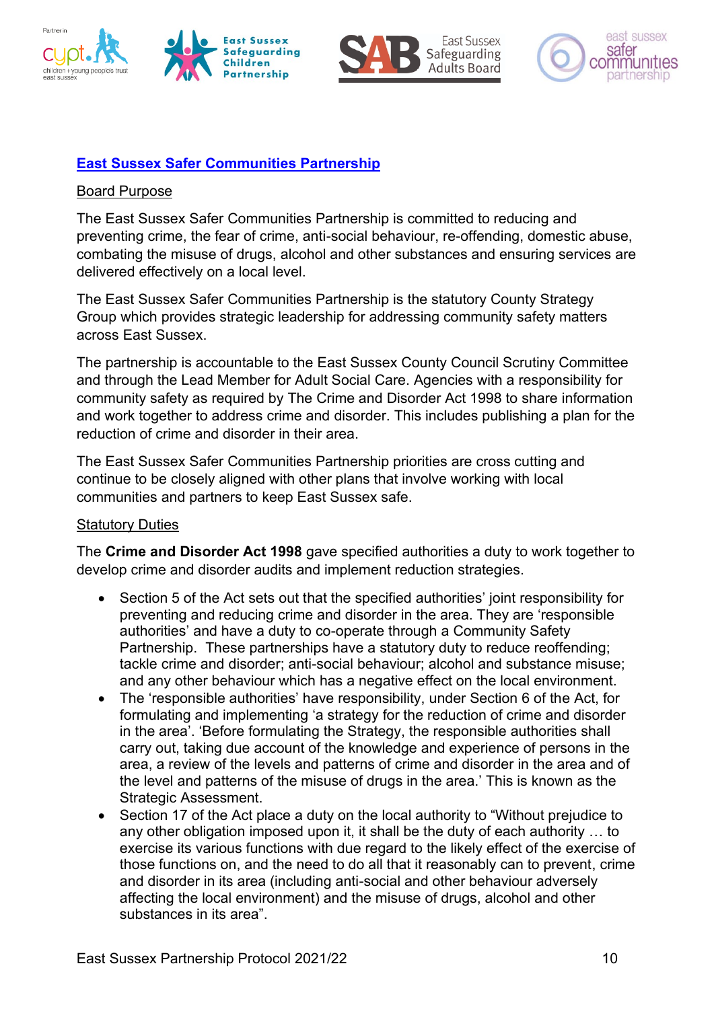







# **[East Sussex Safer Communities Partnership](http://www.safeineastsussex.org.uk/)**

### Board Purpose

The East Sussex Safer Communities Partnership is committed to reducing and preventing crime, the fear of crime, anti-social behaviour, re-offending, domestic abuse, combating the misuse of drugs, alcohol and other substances and ensuring services are delivered effectively on a local level.

The East Sussex Safer Communities Partnership is the statutory County Strategy Group which provides strategic leadership for addressing community safety matters across East Sussex.

The partnership is accountable to the East Sussex County Council Scrutiny Committee and through the Lead Member for Adult Social Care. Agencies with a responsibility for community safety as required by The Crime and Disorder Act 1998 to share information and work together to address crime and disorder. This includes publishing a plan for the reduction of crime and disorder in their area.

The East Sussex Safer Communities Partnership priorities are cross cutting and continue to be closely aligned with other plans that involve working with local communities and partners to keep East Sussex safe.

### Statutory Duties

The **Crime and Disorder Act 1998** gave specified authorities a duty to work together to develop crime and disorder audits and implement reduction strategies.

- Section 5 of the Act sets out that the specified authorities' joint responsibility for preventing and reducing crime and disorder in the area. They are 'responsible authorities' and have a duty to co-operate through a Community Safety Partnership. These partnerships have a statutory duty to reduce reoffending; tackle crime and disorder; anti-social behaviour; alcohol and substance misuse; and any other behaviour which has a negative effect on the local environment.
- The 'responsible authorities' have responsibility, under Section 6 of the Act, for formulating and implementing 'a strategy for the reduction of crime and disorder in the area'. 'Before formulating the Strategy, the responsible authorities shall carry out, taking due account of the knowledge and experience of persons in the area, a review of the levels and patterns of crime and disorder in the area and of the level and patterns of the misuse of drugs in the area.' This is known as the Strategic Assessment.
- Section 17 of the Act place a duty on the local authority to "Without prejudice to any other obligation imposed upon it, it shall be the duty of each authority … to exercise its various functions with due regard to the likely effect of the exercise of those functions on, and the need to do all that it reasonably can to prevent, crime and disorder in its area (including anti-social and other behaviour adversely affecting the local environment) and the misuse of drugs, alcohol and other substances in its area".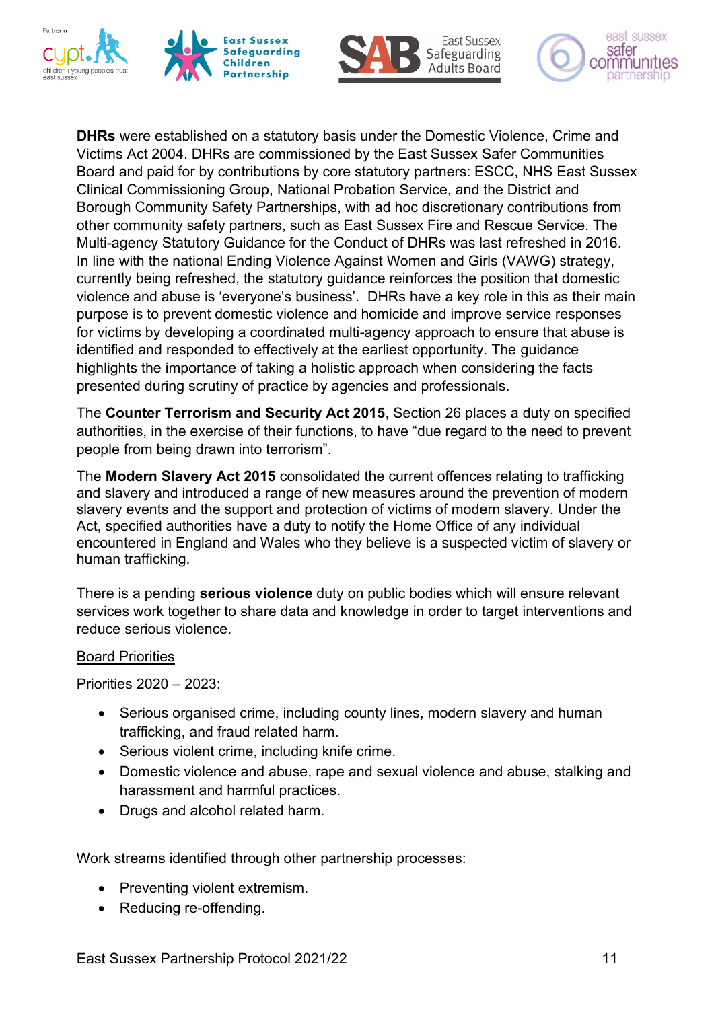







**DHRs** were established on a statutory basis under the Domestic Violence, Crime and Victims Act 2004. DHRs are commissioned by the East Sussex Safer Communities Board and paid for by contributions by core statutory partners: ESCC, NHS East Sussex Clinical Commissioning Group, National Probation Service, and the District and Borough Community Safety Partnerships, with ad hoc discretionary contributions from other community safety partners, such as East Sussex Fire and Rescue Service. The Multi-agency Statutory Guidance for the Conduct of DHRs was last refreshed in 2016. In line with the national Ending Violence Against Women and Girls (VAWG) strategy, currently being refreshed, the statutory guidance reinforces the position that domestic violence and abuse is 'everyone's business'. DHRs have a key role in this as their main purpose is to prevent domestic violence and homicide and improve service responses for victims by developing a coordinated multi-agency approach to ensure that abuse is identified and responded to effectively at the earliest opportunity. The guidance highlights the importance of taking a holistic approach when considering the facts presented during scrutiny of practice by agencies and professionals.

The **Counter Terrorism and Security Act 2015**, Section 26 places a duty on specified authorities, in the exercise of their functions, to have "due regard to the need to prevent people from being drawn into terrorism".

The **[Modern Slavery Act](http://www.legislation.gov.uk/ukpga/2015/30/contents/enacted) 2015** consolidated the current offences relating to trafficking and slavery and introduced a range of new measures around the prevention of modern slavery events and the support and protection of victims of modern slavery. Under the Act, specified authorities have a duty to notify the Home Office of any individual encountered in England and Wales who they believe is a suspected victim of slavery or human trafficking.

There is a pending **serious violence** duty on public bodies which will ensure relevant services work together to share data and knowledge in order to target interventions and reduce serious violence.

### Board Priorities

Priorities 2020 – 2023:

- Serious organised crime, including county lines, modern slavery and human trafficking, and fraud related harm.
- Serious violent crime, including knife crime.
- Domestic violence and abuse, rape and sexual violence and abuse, stalking and harassment and harmful practices.
- Drugs and alcohol related harm.

Work streams identified through other partnership processes:

- Preventing violent extremism.
- Reducing re-offending.